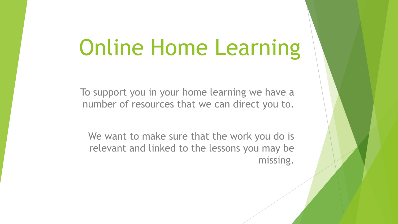# Online Home Learning

To support you in your home learning we have a number of resources that we can direct you to.

We want to make sure that the work you do is relevant and linked to the lessons you may be missing.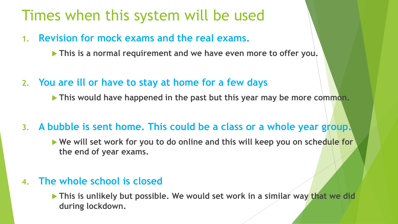# Times when this system will be used

- **1. Revision for mock exams and the real exams.**
	- **This is a normal requirement and we have even more to offer you.**
- **2. You are ill or have to stay at home for a few days**

**This would have happened in the past but this year may be more common.**

**3. A bubble is sent home. This could be a class or a whole year group.**

▶ We will set work for you to do online and this will keep you on schedule for **the end of year exams.**

### **4. The whole school is closed**

**This is unlikely but possible. We would set work in a similar way that we did during lockdown.**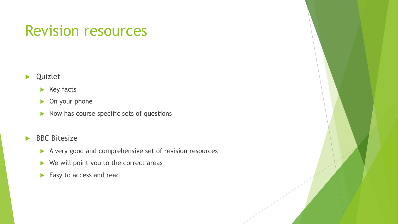## Revision resources

### **D** Quizlet

#### $\blacktriangleright$  Key facts

- **Dec** On your phone
- $\triangleright$  Now has course specific sets of questions

### BBC Bitesize

- A very good and comprehensive set of revision resources
- $\blacktriangleright$  We will point you to the correct areas
- Easy to access and read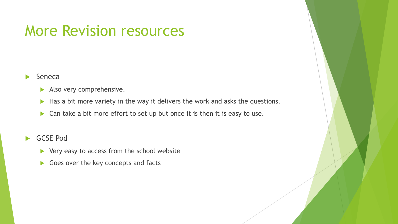### More Revision resources

#### $\blacktriangleright$  Seneca

- Also very comprehensive.
- Has a bit more variety in the way it delivers the work and asks the questions.
- ▶ Can take a bit more effort to set up but once it is then it is easy to use.

#### GCSE Pod

- $\blacktriangleright$  Very easy to access from the school website
- Goes over the key concepts and facts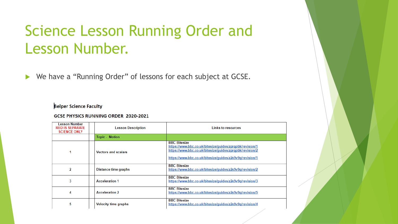# Science Lesson Running Order and Lesson Number.

▶ We have a "Running Order" of lessons for each subject at GCSE.

#### **Belper Science Faculty**

#### **GCSE PHYSICS RUNNING ORDER 2020-2021**

| esson Number<br><b>RED IS SEPARATE</b><br><b>SCIENCE ONLY</b> | <b>Lesson Description</b>   | <b>Links to resources</b>                                                                                                                                                                               |
|---------------------------------------------------------------|-----------------------------|---------------------------------------------------------------------------------------------------------------------------------------------------------------------------------------------------------|
|                                                               | <b>Topic - Motion</b>       |                                                                                                                                                                                                         |
|                                                               | <b>Vectors and scalars</b>  | <b>BBC Bitesize</b><br>https://www.bbc.co.uk/bitesize/guides/zprgpbk/revision/1<br>https://www.bbc.co.uk/bitesize/quides/zprqpbk/revision/2<br>https://www.bbc.co.uk/bitesize/quides/z2x9v9q/revision/1 |
| 2                                                             | Distance time graphs        | <b>BBC Bitesize</b><br>https://www.bbc.co.uk/bitesize/guides/z2x9v9g/revision/2                                                                                                                         |
| 3                                                             | <b>Acceleration 1</b>       | <b>BBC Bitesize</b><br>https://www.bbc.co.uk/bitesize/guides/z2x9v9q/revision/3                                                                                                                         |
| 4                                                             | <b>Acceleration 2</b>       | <b>BBC Bitesize</b><br>https://www.bbc.co.uk/bitesize/quides/z2x9v9q/revision/5                                                                                                                         |
| 5                                                             | <b>Velocity time graphs</b> | <b>BBC Bitesize</b><br>https://www.bbc.co.uk/bitesize/quides/z2x9v9q/revision/4                                                                                                                         |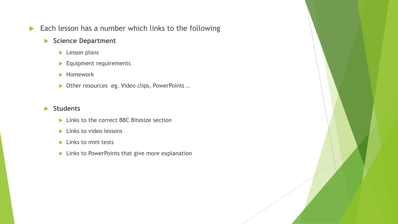Each lesson has a number which links to the following

#### **Science Department**

- **Lesson plans**
- **Equipment requirements**
- **Homework**
- ▶ Other resources eg. Video clips, PowerPoints ..

#### **Students**

- ▶ Links to the correct BBC Bitesize section
- $\blacktriangleright$  Links to video lessons
- $\blacktriangleright$  Links to mini tests
- **Links to PowerPoints that give more explanation**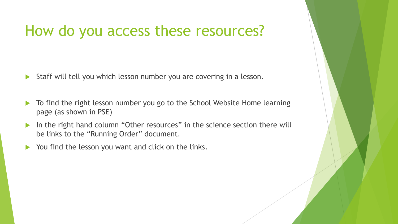## How do you access these resources?

- ▶ Staff will tell you which lesson number you are covering in a lesson.
- ▶ To find the right lesson number you go to the School Website Home learning page (as shown in PSE)
- In the right hand column "Other resources" in the science section there will be links to the "Running Order" document.
- $\triangleright$  You find the lesson you want and click on the links.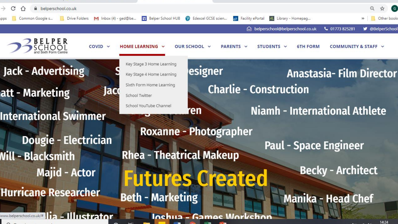